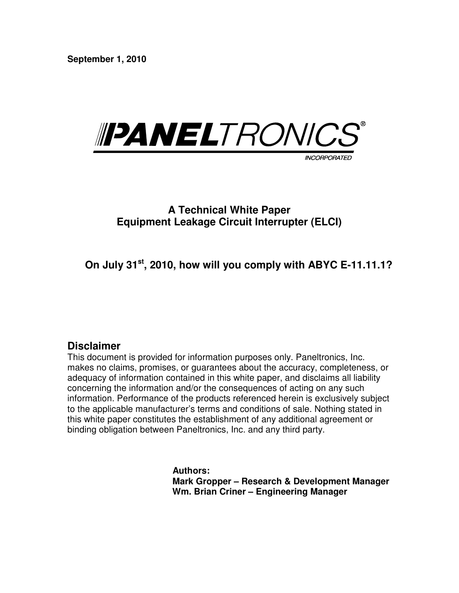**September 1, 2010** 



# **A Technical White Paper Equipment Leakage Circuit Interrupter (ELCI)**

 **On July 31st, 2010, how will you comply with ABYC E-11.11.1?** 

## **Disclaimer**

This document is provided for information purposes only. Paneltronics, Inc. makes no claims, promises, or guarantees about the accuracy, completeness, or adequacy of information contained in this white paper, and disclaims all liability concerning the information and/or the consequences of acting on any such information. Performance of the products referenced herein is exclusively subject to the applicable manufacturer's terms and conditions of sale. Nothing stated in this white paper constitutes the establishment of any additional agreement or binding obligation between Paneltronics, Inc. and any third party.

> **Authors: Mark Gropper – Research & Development Manager Wm. Brian Criner – Engineering Manager**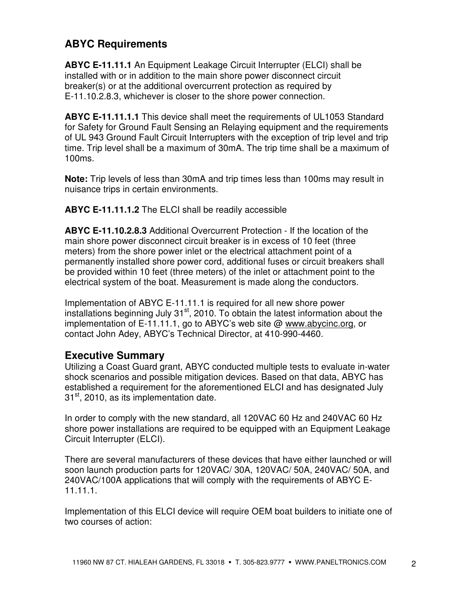# **ABYC Requirements**

**ABYC E-11.11.1** An Equipment Leakage Circuit Interrupter (ELCI) shall be installed with or in addition to the main shore power disconnect circuit breaker(s) or at the additional overcurrent protection as required by E-11.10.2.8.3, whichever is closer to the shore power connection.

**ABYC E-11.11.1.1** This device shall meet the requirements of UL1053 Standard for Safety for Ground Fault Sensing an Relaying equipment and the requirements of UL 943 Ground Fault Circuit Interrupters with the exception of trip level and trip time. Trip level shall be a maximum of 30mA. The trip time shall be a maximum of 100ms.

**Note:** Trip levels of less than 30mA and trip times less than 100ms may result in nuisance trips in certain environments.

**ABYC E-11.11.1.2** The ELCI shall be readily accessible

**ABYC E-11.10.2.8.3** Additional Overcurrent Protection - If the location of the main shore power disconnect circuit breaker is in excess of 10 feet (three meters) from the shore power inlet or the electrical attachment point of a permanently installed shore power cord, additional fuses or circuit breakers shall be provided within 10 feet (three meters) of the inlet or attachment point to the electrical system of the boat. Measurement is made along the conductors.

Implementation of ABYC E-11.11.1 is required for all new shore power installations beginning July  $31<sup>st</sup>$ , 2010. To obtain the latest information about the implementation of E-11.11.1, go to ABYC's web site @ www.abycinc.org, or contact John Adey, ABYC's Technical Director, at 410-990-4460.

## **Executive Summary**

Utilizing a Coast Guard grant, ABYC conducted multiple tests to evaluate in-water shock scenarios and possible mitigation devices. Based on that data, ABYC has established a requirement for the aforementioned ELCI and has designated July  $31<sup>st</sup>$ , 2010, as its implementation date.

In order to comply with the new standard, all 120VAC 60 Hz and 240VAC 60 Hz shore power installations are required to be equipped with an Equipment Leakage Circuit Interrupter (ELCI).

There are several manufacturers of these devices that have either launched or will soon launch production parts for 120VAC/ 30A, 120VAC/ 50A, 240VAC/ 50A, and 240VAC/100A applications that will comply with the requirements of ABYC E-11.11.1.

Implementation of this ELCI device will require OEM boat builders to initiate one of two courses of action: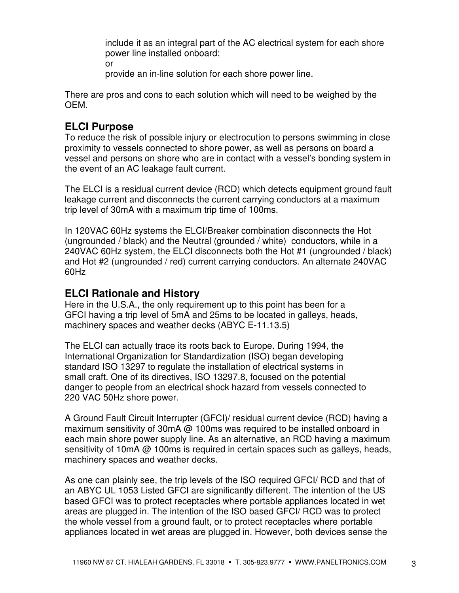include it as an integral part of the AC electrical system for each shore power line installed onboard; or

provide an in-line solution for each shore power line.

There are pros and cons to each solution which will need to be weighed by the OEM.

# **ELCI Purpose**

To reduce the risk of possible injury or electrocution to persons swimming in close proximity to vessels connected to shore power, as well as persons on board a vessel and persons on shore who are in contact with a vessel's bonding system in the event of an AC leakage fault current.

The ELCI is a residual current device (RCD) which detects equipment ground fault leakage current and disconnects the current carrying conductors at a maximum trip level of 30mA with a maximum trip time of 100ms.

In 120VAC 60Hz systems the ELCI/Breaker combination disconnects the Hot (ungrounded / black) and the Neutral (grounded / white) conductors, while in a 240VAC 60Hz system, the ELCI disconnects both the Hot #1 (ungrounded / black) and Hot #2 (ungrounded / red) current carrying conductors. An alternate 240VAC 60Hz

## **ELCI Rationale and History**

Here in the U.S.A., the only requirement up to this point has been for a GFCI having a trip level of 5mA and 25ms to be located in galleys, heads, machinery spaces and weather decks (ABYC E-11.13.5)

The ELCI can actually trace its roots back to Europe. During 1994, the International Organization for Standardization (ISO) began developing standard ISO 13297 to regulate the installation of electrical systems in small craft. One of its directives, ISO 13297.8, focused on the potential danger to people from an electrical shock hazard from vessels connected to 220 VAC 50Hz shore power.

A Ground Fault Circuit Interrupter (GFCI)/ residual current device (RCD) having a maximum sensitivity of 30mA @ 100ms was required to be installed onboard in each main shore power supply line. As an alternative, an RCD having a maximum sensitivity of 10mA @ 100ms is required in certain spaces such as galleys, heads, machinery spaces and weather decks.

As one can plainly see, the trip levels of the ISO required GFCI/ RCD and that of an ABYC UL 1053 Listed GFCI are significantly different. The intention of the US based GFCI was to protect receptacles where portable appliances located in wet areas are plugged in. The intention of the ISO based GFCI/ RCD was to protect the whole vessel from a ground fault, or to protect receptacles where portable appliances located in wet areas are plugged in. However, both devices sense the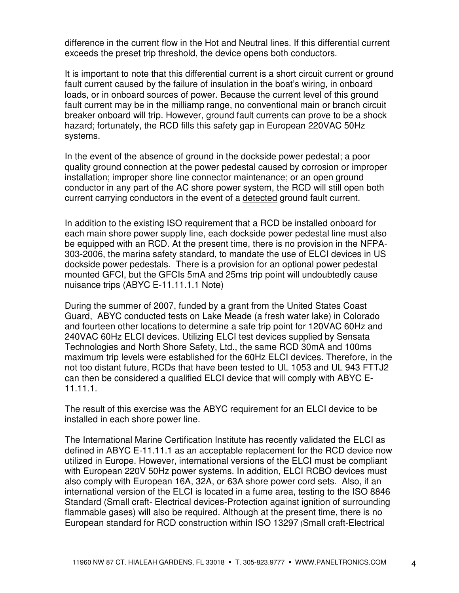difference in the current flow in the Hot and Neutral lines. If this differential current exceeds the preset trip threshold, the device opens both conductors.

It is important to note that this differential current is a short circuit current or ground fault current caused by the failure of insulation in the boat's wiring, in onboard loads, or in onboard sources of power. Because the current level of this ground fault current may be in the milliamp range, no conventional main or branch circuit breaker onboard will trip. However, ground fault currents can prove to be a shock hazard; fortunately, the RCD fills this safety gap in European 220VAC 50Hz systems.

In the event of the absence of ground in the dockside power pedestal; a poor quality ground connection at the power pedestal caused by corrosion or improper installation; improper shore line connector maintenance; or an open ground conductor in any part of the AC shore power system, the RCD will still open both current carrying conductors in the event of a detected ground fault current.

In addition to the existing ISO requirement that a RCD be installed onboard for each main shore power supply line, each dockside power pedestal line must also be equipped with an RCD. At the present time, there is no provision in the NFPA-303-2006, the marina safety standard, to mandate the use of ELCI devices in US dockside power pedestals. There is a provision for an optional power pedestal mounted GFCI, but the GFCIs 5mA and 25ms trip point will undoubtedly cause nuisance trips (ABYC E-11.11.1.1 Note)

During the summer of 2007, funded by a grant from the United States Coast Guard, ABYC conducted tests on Lake Meade (a fresh water lake) in Colorado and fourteen other locations to determine a safe trip point for 120VAC 60Hz and 240VAC 60Hz ELCI devices. Utilizing ELCI test devices supplied by Sensata Technologies and North Shore Safety, Ltd., the same RCD 30mA and 100ms maximum trip levels were established for the 60Hz ELCI devices. Therefore, in the not too distant future, RCDs that have been tested to UL 1053 and UL 943 FTTJ2 can then be considered a qualified ELCI device that will comply with ABYC E-11.11.1.

The result of this exercise was the ABYC requirement for an ELCI device to be installed in each shore power line.

The International Marine Certification Institute has recently validated the ELCI as defined in ABYC E-11.11.1 as an acceptable replacement for the RCD device now utilized in Europe. However, international versions of the ELCI must be compliant with European 220V 50Hz power systems. In addition, ELCI RCBO devices must also comply with European 16A, 32A, or 63A shore power cord sets. Also, if an international version of the ELCI is located in a fume area, testing to the ISO 8846 Standard (Small craft- Electrical devices-Protection against ignition of surrounding flammable gases) will also be required. Although at the present time, there is no European standard for RCD construction within ISO 13297 (Small craft-Electrical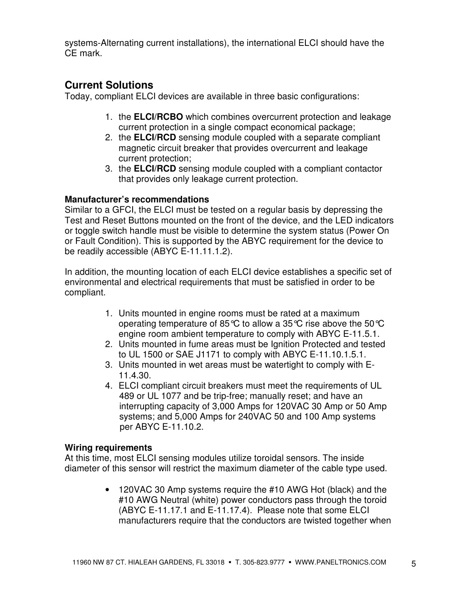systems-Alternating current installations), the international ELCI should have the CE mark.

## **Current Solutions**

Today, compliant ELCI devices are available in three basic configurations:

- 1. the **ELCI/RCBO** which combines overcurrent protection and leakage current protection in a single compact economical package;
- 2. the **ELCI/RCD** sensing module coupled with a separate compliant magnetic circuit breaker that provides overcurrent and leakage current protection;
- 3. the **ELCI/RCD** sensing module coupled with a compliant contactor that provides only leakage current protection.

### **Manufacturer's recommendations**

Similar to a GFCI, the ELCI must be tested on a regular basis by depressing the Test and Reset Buttons mounted on the front of the device, and the LED indicators or toggle switch handle must be visible to determine the system status (Power On or Fault Condition). This is supported by the ABYC requirement for the device to be readily accessible (ABYC E-11.11.1.2).

In addition, the mounting location of each ELCI device establishes a specific set of environmental and electrical requirements that must be satisfied in order to be compliant.

- 1. Units mounted in engine rooms must be rated at a maximum operating temperature of 85 °C to allow a 35 °C rise above the 50 °C engine room ambient temperature to comply with ABYC E-11.5.1.
- 2. Units mounted in fume areas must be Ignition Protected and tested to UL 1500 or SAE J1171 to comply with ABYC E-11.10.1.5.1.
- 3. Units mounted in wet areas must be watertight to comply with E-11.4.30.
- 4. ELCI compliant circuit breakers must meet the requirements of UL 489 or UL 1077 and be trip-free; manually reset; and have an interrupting capacity of 3,000 Amps for 120VAC 30 Amp or 50 Amp systems; and 5,000 Amps for 240VAC 50 and 100 Amp systems per ABYC E-11.10.2.

#### **Wiring requirements**

At this time, most ELCI sensing modules utilize toroidal sensors. The inside diameter of this sensor will restrict the maximum diameter of the cable type used.

> • 120VAC 30 Amp systems require the #10 AWG Hot (black) and the #10 AWG Neutral (white) power conductors pass through the toroid (ABYC E-11.17.1 and E-11.17.4). Please note that some ELCI manufacturers require that the conductors are twisted together when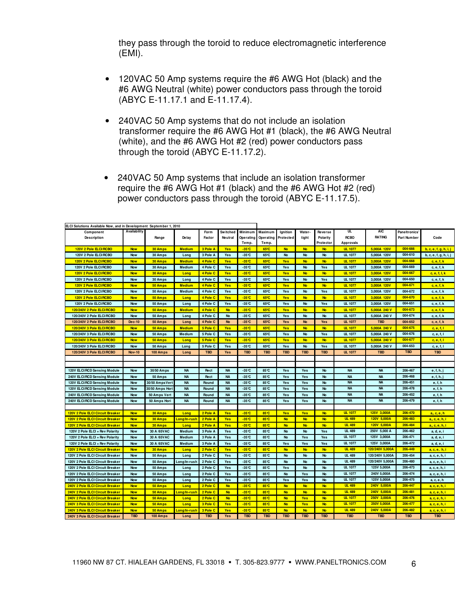they pass through the toroid to reduce electromagnetic interference (EMI).

- 120VAC 50 Amp systems require the #6 AWG Hot (black) and the #6 AWG Neutral (white) power conductors pass through the toroid (ABYC E-11.17.1 and E-11.17.4).
- 240VAC 50 Amp systems that do not include an isolation transformer require the #6 AWG Hot #1 (black), the #6 AWG Neutral (white), and the #6 AWG Hot #2 (red) power conductors pass through the toroid (ABYC E-11.17.2).
- 240VAC 50 Amp systems that include an isolation transformer require the #6 AWG Hot #1 (black) and the #6 AWG Hot #2 (red) power conductors pass through the toroid (ABYC E-11.17.5).

| Availability<br>UL<br><b>AIC</b><br>Minimum<br>Maximum<br>Water-<br><b>Switched</b><br>Ignition<br><b>Paneltronics</b><br>Component<br>Form<br>Reverse<br><b>RCBO</b><br><b>RATING</b><br><b>Description</b><br>Range<br>De lav<br>tight<br>Part Number<br>Factor<br>Neutral<br>Operating<br>Operating<br>Protected<br>Polarity<br>Protector<br><b>Approvals</b><br>Temp.<br>Temp.<br>004-666<br>120V 2 Pole ELCI/RCBO<br><b>Now</b><br>30 Amps<br><b>Medium</b><br>3 Pole A<br><b>Yes</b><br>$-35^\circ$ C<br>65 <sup>°</sup> C<br><b>No</b><br><b>No</b><br><b>UL 1077</b><br>5,000A 120V<br><b>No</b><br>004-610<br>$-35^\circ\text{C}$<br>65°C<br><b>UL 1077</b><br>120V 2 Pole ELCI/RCBO<br><b>Now</b><br>30 Amps<br>Long<br>3 Pole A<br>Yes<br><b>No</b><br><b>No</b><br>No<br>5,000A 120V<br><b>UL 1077</b><br>004-668<br>120V 2 Pole ELCI/RCBO<br><b>Now</b><br>30 Amps<br><b>Medium</b><br>4 Pole C<br><b>Yes</b><br>$-35^\circ$ C<br>65 <sup>°</sup> C<br>Yes<br><b>No</b><br><b>No</b><br>3.000A 120V<br>120V 2 Pole ELCI/RCBO<br>Medium<br>4 Pole C<br>Yes<br>$-35^\circ\text{C}$<br>65°C<br>Yes<br><b>No</b><br>Yes<br><b>UL 1077</b><br>3.000A 120V<br>004-669<br><b>Now</b><br>30 Amps<br>120V 2 Pole ELCI/RCBO<br><b>Now</b><br>4 Pole C<br>$-35^\circ$ C<br>65 <sup>°</sup> C<br><b>Yes</b><br><b>No</b><br><b>No</b><br><b>UL 1077</b><br>3.000A 120V<br>004-667<br>30 Amps<br>Long<br><b>Yes</b><br>$-35^{\circ}$ C<br>65°C<br><b>UL 1077</b><br>004-650<br>120V 2 Pole ELCI/RCBO<br><b>Now</b><br>4 Pole C<br>Yes<br>Yes<br><b>No</b><br>3,000A 120V<br>30 Amps<br>Yes<br>Long<br>$-35^\circ$ C<br>65 <sup>°</sup> C<br><b>UL 1077</b><br>004-671<br>120V 2 Pole ELCI/RCBO<br><b>Now</b><br>50 Amps<br><b>Medium</b><br>4 Pole C<br><b>Yes</b><br><b>Yes</b><br><b>No</b><br><b>No</b><br>3,000A 120V<br>004-672<br>65°C<br><b>UL 1077</b><br>120V 2 Pole ELCI/RCBO<br>Yes<br>$-35^\circ\text{C}$<br>Yes<br><b>No</b><br>3,000A 120V<br><b>Now</b><br>50 Amps<br>Medium<br>4 Pole C<br>Yes<br>120V 2 Pole ELCI/RCBO<br><b>Now</b><br>50 Amps<br>4 Pole C<br><b>Yes</b><br>$-35^\circ$ C<br>65 <sup>°</sup> C<br><b>Yes</b><br><b>No</b><br><b>No</b><br><b>UL 1077</b><br>3.000A 120V<br>004-670<br>Long<br>004-651<br>120V 2 Pole ELCI/RCBO<br>$-35^\circ$ C<br>65°C<br><b>UL 1077</b><br>3.000A 120V<br><b>Now</b><br>50 Amps<br>Long<br>4 Pole C<br>Yes<br><b>Yes</b><br><b>No</b><br>Yes<br>$-35^\circ$ C<br>004-673<br>120/240V 2 Pole ELCI/RCBO<br><b>Now</b><br><b>Medium</b><br>4 Pole C<br><b>No</b><br>65 <sup>°</sup> C<br><b>Yes</b><br><b>No</b><br><b>No</b><br><b>UL 1077</b><br>5.000A 240 V<br>50 Amps<br>004-674<br>$-35^\circ\text{C}$<br><b>UL 1077</b><br>5,000A 240 V<br>120/240V 2 Pole ELCI/RCBO<br>4 Pole C<br>No<br>65°C<br>Yes<br><b>No</b><br>No<br><b>Now</b><br>50 Amps<br>Long<br>004-652<br>$-35^\circ\text{C}$<br>65°C<br>120/240V 2 Pole ELCI/RCBO<br><b>Dec-10</b><br>4 Pole C<br><b>No</b><br>Yes<br><b>No</b><br>Yes<br><b>UL 1077</b><br><b>TBD</b><br>50 Amps<br>Long<br>004-675<br>120/240V 3 Pole ELCI/RCBO<br><b>Now</b><br>50 Amps<br><b>Medium</b><br>5 Pole C<br><b>Yes</b><br>$-35^\circ$ C<br>65 <sup>°</sup> C<br><b>Yes</b><br><b>No</b><br><b>No</b><br><b>UL 1077</b><br>5,000A 240 V<br>120/240V 3 Pole ELCI/RCBO<br>$-35^\circ$ C<br>65°C<br>Yes<br><b>No</b><br><b>UL 1077</b><br>5,000A 240 V<br>004-676<br><b>Now</b><br>50 Amps<br>Medium<br>5 Pole C<br>Yes<br>Yes<br><b>UL 1077</b><br>004-677<br>120/240V 3 Pole ELCI/RCBC<br><b>Now</b><br>50 Amps<br>Long<br>5 Pole C<br><b>Yes</b><br>$-35^\circ$ C<br>65 <sup>°</sup> C<br><b>Yes</b><br><b>No</b><br><b>No</b><br>5.000A 240 V<br>004-653<br>120/240V 3 Pole ELCI/RCBO<br>5 Pole C<br>Yes<br>$-35^\circ\text{C}$<br>65°C<br>Yes<br><b>No</b><br><b>UL 1077</b><br>5,000A 240 V<br><b>Now</b><br>50 Amps<br>Yes<br>Long<br><b>TBD</b><br><b>TBD</b><br><b>TBD</b><br><b>TBD</b><br><b>TBD</b><br><b>UL 1077</b><br>120/240V 3 Pole ELCI/RCBO<br><b>Nov-10</b><br><b>TBD</b><br><b>TBD</b><br><b>TBD</b><br>100 Amps<br>Long<br>Yes<br><b>NA</b><br>120V ELCI/RCD Sensing Module<br><b>NA</b><br><b>NA</b><br>$-35^\circ$ C<br>85°C<br>Yes<br>Yes<br><b>No</b><br><b>NA</b><br>206-467<br><b>Now</b><br>30/50 Amps<br>Rect<br>240V ELCI/RCD Sensing Module<br>50 Amps<br><b>NA</b><br><b>NA</b><br>$-35^\circ\text{C}$<br>85°C<br><b>NA</b><br><b>NA</b><br>206-468<br><b>Now</b><br>Rect<br>Yes<br>Yes<br><b>No</b><br><b>NA</b><br><b>NA</b><br>$-35^\circ\text{C}$<br>206-451<br>120V ELCI/RCD Sensing Module<br><b>Now</b><br>30/50 Amps Vert<br><b>NA</b><br><b>NA</b><br>85°C<br>Yes<br>Yes<br>No<br>Round<br><b>NA</b><br>$-35^\circ$ C<br>85°C<br><b>NA</b><br><b>NA</b><br>206-478<br>120V ELCI/RCD Sensing Module<br><b>Now</b><br>30/50 Amps Hori<br><b>NA</b><br>Yes<br>Yes<br>No<br>Round<br><b>NA</b><br><b>NA</b><br>206-452<br><b>NA</b><br>$-35^\circ\text{C}$<br>85°C<br>240V ELCI/RCD Sensing Module<br><b>NA</b><br>Yes<br>Yes<br>No<br><b>Now</b><br>50 Amps Vert<br>Round<br><b>NA</b><br><b>NA</b><br>206-479<br>240V ELCI/RCD Sensing Module<br><b>Now</b><br>50 Amps Hori<br><b>NA</b><br>Round<br><b>NA</b><br>$-35^\circ$ C<br>85°C<br>Yes<br>Yes<br>No<br><b>UL 1077</b><br>120V 2 Pole ELCI Circuit Breaker<br>2 Pole A<br>$-35^\circ$ C<br>85°C<br>125V 3,000A<br>206-470<br><b>Now</b><br>30 Amps<br>Long<br><b>Yes</b><br><b>Yes</b><br><b>Yes</b><br><b>No</b><br><b>UL 489</b><br>2 Pole A<br>$-35^\circ$ C<br>85°C<br><b>No</b><br><b>No</b><br><b>No</b><br>120V 5.000A<br>206-483<br>120V 2 Pole ELCI Circuit Breaker<br><b>Now</b><br>30 Amps<br><mark>Long/In-rusi</mark><br><b>Yes</b><br><b>UL 489</b><br>120V 5.000A<br>206-484<br>120V 2 Pole ELCI Circuit Breaker<br><b>Now</b><br>30 Amps<br>2 Pole A<br>Yes<br>$-35^\circ$ C<br>85°C<br><b>No</b><br><b>No</b><br><b>No</b><br>Long<br><b>UL 489</b><br>250V 5,000 A<br>206-462<br>30 A /65VAC<br>$-35^\circ\text{C}$<br>85°C<br><b>No</b><br><b>No</b><br>120V 2 Pole ELCI + Rev Polarity<br><b>Now</b><br>Medium<br>3 Pole A<br>Yes<br>Yes<br><b>UL 1077</b><br>125V 3,000A<br>206-471<br>30 A /65V AC<br>$-35^\circ\text{C}$<br><b>No</b><br>120V 2 Pole ELCI + Rev Polarity<br><b>Now</b><br>Medium<br>3 Pole A<br>Yes<br>85°C<br>Yes<br>Yes<br><b>UL 1077</b><br>125V 3,000A<br>206-472<br>30 A /65VAC<br>$-35^\circ\text{C}$<br>85°C<br>Yes<br>120V 2 Pole ELCI + Rev Polarity<br><b>Now</b><br>Medium<br>3 Pole A<br>Yes<br>Yes<br><b>Yes</b><br><b>UL 489</b><br>120/240V 5.000A<br>206-449<br>120V 2 Pole ELCI Circuit Breaker<br><b>Now</b><br>30 Amps<br>2 Pole C<br><b>Yes</b><br>$-35^\circ$ C<br>85°C<br><b>No</b><br><b>No</b><br><b>No</b><br>Long<br><b>UL 489</b><br>120/240V 5,000A<br>206-454<br>120V 2 Pole ELCI Circuit Breaker<br>$-35^\circ$ C<br>85°C<br><b>Now</b><br>50 Amps<br>2 Pole C<br>Yes<br><b>No</b><br>No<br>No<br>Long<br>$-35^\circ$ C<br><b>UL 489</b><br>120/240V 5,000A<br>206-480<br>120V 2 Pole ELCI Circuit Breaker<br><b>Now</b><br>Long/In-rush<br>2 Pole C<br>Yes<br>85°C<br><b>No</b><br><b>No</b><br>No<br>50 Amps<br>$-35^\circ$ C<br>85°C<br><b>UL 1077</b><br>125V 5,000A<br>206-473<br>120V 2 Pole ELCI Circuit Breaker<br>2 Pole C<br>Yes<br>Yes<br><b>No</b><br>No<br><b>Now</b><br>50 Amps<br>Long<br><b>UL 1077</b><br>$-35^\circ$ C<br>240V 5,000A<br>206-474<br>120V 2 Pole ELCI Circuit Breaker<br>Yes<br>85°C<br><b>No</b><br>Yes<br>No<br><b>Now</b><br>50 Amps<br>Long<br>2 Pole C<br><b>UL 1077</b><br>125V 5,000A<br>206-475<br>$-35^\circ\text{C}$<br>85°C<br>Yes<br>No<br>120V 2 Pole ELCI Circuit Breaker<br><b>Now</b><br>50 Amps<br>Long<br>2 Pole C<br>Yes<br>Yes<br><b>UL 489</b><br>240V 5,000A<br><b>No</b><br><b>No</b><br>206-447<br>240V 2 Pole ELCI Circuit Breaker<br><b>Now</b><br>50 Amps<br>Long<br>2 Pole C<br><b>No</b><br>$-35^\circ$ C<br>85°C<br><b>No</b><br>240V 2 Pole ELCI Circuit Breaker<br>2 Pole C<br><b>No</b><br>$-35^\circ$ C<br>85°C<br><b>No</b><br><b>No</b><br><b>No</b><br><b>UL 489</b><br>240V 5,000A<br>206-481<br><b>Now</b><br>50 Amps<br>Long/In-rush<br>240V 2 Pole ELCI Circuit Breaker<br>2 Pole C<br><b>No</b><br>$-35^\circ$ C<br>85°C<br><b>No</b><br>Yes<br><b>No</b><br><b>UL 1077</b><br>250V 3.000A<br>206-476<br><b>Now</b><br>50 Amps<br>Long<br><b>UL 1077</b><br>250V 5,000A<br>206-477<br>240V 3 Pole ELCI Circuit Breaker<br><b>Now</b><br><b>Yes</b><br>$-35^\circ$ C<br>85°C<br><b>No</b><br><b>No</b><br>50 Amps<br>Long<br>3 Pole C<br><b>Yes</b><br><b>UL 489</b><br>240V 5,000A<br>206-482<br>240V 3 Pole ELCI Circuit Breaker<br>$-35^\circ \text{C}$<br>85°C<br><b>Now</b><br>50 Amps<br>Long/In-rusi<br>3 Pole C<br><b>Yes</b><br><b>No</b><br><b>No</b><br><b>No</b><br><b>TBD</b><br><b>TBD</b><br><b>TBD</b><br><b>TBD</b><br><b>TBD</b><br>Yes<br><b>TBD</b><br><b>TBD</b><br><b>TBD</b><br><b>TBD</b><br><b>TBD</b><br>240V 3 Pole ELCI Circuit Breaker<br>100 Amps<br>Long | ELCI Solutions Available Now, and in Development September 1, 2010 |  |  |  |  |  |  |                        |
|---------------------------------------------------------------------------------------------------------------------------------------------------------------------------------------------------------------------------------------------------------------------------------------------------------------------------------------------------------------------------------------------------------------------------------------------------------------------------------------------------------------------------------------------------------------------------------------------------------------------------------------------------------------------------------------------------------------------------------------------------------------------------------------------------------------------------------------------------------------------------------------------------------------------------------------------------------------------------------------------------------------------------------------------------------------------------------------------------------------------------------------------------------------------------------------------------------------------------------------------------------------------------------------------------------------------------------------------------------------------------------------------------------------------------------------------------------------------------------------------------------------------------------------------------------------------------------------------------------------------------------------------------------------------------------------------------------------------------------------------------------------------------------------------------------------------------------------------------------------------------------------------------------------------------------------------------------------------------------------------------------------------------------------------------------------------------------------------------------------------------------------------------------------------------------------------------------------------------------------------------------------------------------------------------------------------------------------------------------------------------------------------------------------------------------------------------------------------------------------------------------------------------------------------------------------------------------------------------------------------------------------------------------------------------------------------------------------------------------------------------------------------------------------------------------------------------------------------------------------------------------------------------------------------------------------------------------------------------------------------------------------------------------------------------------------------------------------------------------------------------------------------------------------------------------------------------------------------------------------------------------------------------------------------------------------------------------------------------------------------------------------------------------------------------------------------------------------------------------------------------------------------------------------------------------------------------------------------------------------------------------------------------------------------------------------------------------------------------------------------------------------------------------------------------------------------------------------------------------------------------------------------------------------------------------------------------------------------------------------------------------------------------------------------------------------------------------------------------------------------------------------------------------------------------------------------------------------------------------------------------------------------------------------------------------------------------------------------------------------------------------------------------------------------------------------------------------------------------------------------------------------------------------------------------------------------------------------------------------------------------------------------------------------------------------------------------------------------------------------------------------------------------------------------------------------------------------------------------------------------------------------------------------------------------------------------------------------------------------------------------------------------------------------------------------------------------------------------------------------------------------------------------------------------------------------------------------------------------------------------------------------------------------------------------------------------------------------------------------------------------------------------------------------------------------------------------------------------------------------------------------------------------------------------------------------------------------------------------------------------------------------------------------------------------------------------------------------------------------------------------------------------------------------------------------------------------------------------------------------------------------------------------------------------------------------------------------------------------------------------------------------------------------------------------------------------------------------------------------------------------------------------------------------------------------------------------------------------------------------------------------------------------------------------------------------------------------------------------------------------------------------------------------------------------------------------------------------------------------------------------------------------------------------------------------------------------------------------------------------------------------------------------------------------------------------------------------------------------------------------------------------------------------------------------------------------------------------------------------------------------------------------------------------------------------------------------------------------------------------------------------------------------------------------------------------------------------------------------------------------------------------------------------------------------------------------------------------------------------------------------------------------------------------------------------------------------------------------------------------------------------------------------------------------------------------------------------------------------------------------------------------------------------------------------------------------------------------------------------------------------------------------------------------------------------------------------------------------------------------------------------------------------------------------------------------------------------------------------------------------------------------------------------------------------------------------------------------------------------------------------------------------------------------------------------------------------------------------------------------------------------------------------------------------------------------------------------------------------------------------------------------------------------------------------------------------------------------------------------------------------------------------------------------------------------------------------------------------------------------------------------------------------------------------------------------------------------------------------------------------------------------------------------------------------------------------------------------------------------------------------------------------------------------------------------------------------------------------------------------------------------------------------------------------------------------------------------|--------------------------------------------------------------------|--|--|--|--|--|--|------------------------|
|                                                                                                                                                                                                                                                                                                                                                                                                                                                                                                                                                                                                                                                                                                                                                                                                                                                                                                                                                                                                                                                                                                                                                                                                                                                                                                                                                                                                                                                                                                                                                                                                                                                                                                                                                                                                                                                                                                                                                                                                                                                                                                                                                                                                                                                                                                                                                                                                                                                                                                                                                                                                                                                                                                                                                                                                                                                                                                                                                                                                                                                                                                                                                                                                                                                                                                                                                                                                                                                                                                                                                                                                                                                                                                                                                                                                                                                                                                                                                                                                                                                                                                                                                                                                                                                                                                                                                                                                                                                                                                                                                                                                                                                                                                                                                                                                                                                                                                                                                                                                                                                                                                                                                                                                                                                                                                                                                                                                                                                                                                                                                                                                                                                                                                                                                                                                                                                                                                                                                                                                                                                                                                                                                                                                                                                                                                                                                                                                                                                                                                                                                                                                                                                                                                                                                                                                                                                                                                                                                                                                                                                                                                                                                                                                                                                                                                                                                                                                                                                                                                                                                                                                                                                                                                                                                                                                                                                                                                                                                                                                                                                                                                                                                                                                                                                                                                                                                                                                                                                                                                                                                                                                                                                                                                                                                                                                                                                                                                                                                         |                                                                    |  |  |  |  |  |  | Code                   |
|                                                                                                                                                                                                                                                                                                                                                                                                                                                                                                                                                                                                                                                                                                                                                                                                                                                                                                                                                                                                                                                                                                                                                                                                                                                                                                                                                                                                                                                                                                                                                                                                                                                                                                                                                                                                                                                                                                                                                                                                                                                                                                                                                                                                                                                                                                                                                                                                                                                                                                                                                                                                                                                                                                                                                                                                                                                                                                                                                                                                                                                                                                                                                                                                                                                                                                                                                                                                                                                                                                                                                                                                                                                                                                                                                                                                                                                                                                                                                                                                                                                                                                                                                                                                                                                                                                                                                                                                                                                                                                                                                                                                                                                                                                                                                                                                                                                                                                                                                                                                                                                                                                                                                                                                                                                                                                                                                                                                                                                                                                                                                                                                                                                                                                                                                                                                                                                                                                                                                                                                                                                                                                                                                                                                                                                                                                                                                                                                                                                                                                                                                                                                                                                                                                                                                                                                                                                                                                                                                                                                                                                                                                                                                                                                                                                                                                                                                                                                                                                                                                                                                                                                                                                                                                                                                                                                                                                                                                                                                                                                                                                                                                                                                                                                                                                                                                                                                                                                                                                                                                                                                                                                                                                                                                                                                                                                                                                                                                                                                         |                                                                    |  |  |  |  |  |  | b, c, e, f, g, h, i, j |
|                                                                                                                                                                                                                                                                                                                                                                                                                                                                                                                                                                                                                                                                                                                                                                                                                                                                                                                                                                                                                                                                                                                                                                                                                                                                                                                                                                                                                                                                                                                                                                                                                                                                                                                                                                                                                                                                                                                                                                                                                                                                                                                                                                                                                                                                                                                                                                                                                                                                                                                                                                                                                                                                                                                                                                                                                                                                                                                                                                                                                                                                                                                                                                                                                                                                                                                                                                                                                                                                                                                                                                                                                                                                                                                                                                                                                                                                                                                                                                                                                                                                                                                                                                                                                                                                                                                                                                                                                                                                                                                                                                                                                                                                                                                                                                                                                                                                                                                                                                                                                                                                                                                                                                                                                                                                                                                                                                                                                                                                                                                                                                                                                                                                                                                                                                                                                                                                                                                                                                                                                                                                                                                                                                                                                                                                                                                                                                                                                                                                                                                                                                                                                                                                                                                                                                                                                                                                                                                                                                                                                                                                                                                                                                                                                                                                                                                                                                                                                                                                                                                                                                                                                                                                                                                                                                                                                                                                                                                                                                                                                                                                                                                                                                                                                                                                                                                                                                                                                                                                                                                                                                                                                                                                                                                                                                                                                                                                                                                                                         |                                                                    |  |  |  |  |  |  | b, c, e, f, g, h, i, j |
|                                                                                                                                                                                                                                                                                                                                                                                                                                                                                                                                                                                                                                                                                                                                                                                                                                                                                                                                                                                                                                                                                                                                                                                                                                                                                                                                                                                                                                                                                                                                                                                                                                                                                                                                                                                                                                                                                                                                                                                                                                                                                                                                                                                                                                                                                                                                                                                                                                                                                                                                                                                                                                                                                                                                                                                                                                                                                                                                                                                                                                                                                                                                                                                                                                                                                                                                                                                                                                                                                                                                                                                                                                                                                                                                                                                                                                                                                                                                                                                                                                                                                                                                                                                                                                                                                                                                                                                                                                                                                                                                                                                                                                                                                                                                                                                                                                                                                                                                                                                                                                                                                                                                                                                                                                                                                                                                                                                                                                                                                                                                                                                                                                                                                                                                                                                                                                                                                                                                                                                                                                                                                                                                                                                                                                                                                                                                                                                                                                                                                                                                                                                                                                                                                                                                                                                                                                                                                                                                                                                                                                                                                                                                                                                                                                                                                                                                                                                                                                                                                                                                                                                                                                                                                                                                                                                                                                                                                                                                                                                                                                                                                                                                                                                                                                                                                                                                                                                                                                                                                                                                                                                                                                                                                                                                                                                                                                                                                                                                                         |                                                                    |  |  |  |  |  |  | c, e, f, k             |
|                                                                                                                                                                                                                                                                                                                                                                                                                                                                                                                                                                                                                                                                                                                                                                                                                                                                                                                                                                                                                                                                                                                                                                                                                                                                                                                                                                                                                                                                                                                                                                                                                                                                                                                                                                                                                                                                                                                                                                                                                                                                                                                                                                                                                                                                                                                                                                                                                                                                                                                                                                                                                                                                                                                                                                                                                                                                                                                                                                                                                                                                                                                                                                                                                                                                                                                                                                                                                                                                                                                                                                                                                                                                                                                                                                                                                                                                                                                                                                                                                                                                                                                                                                                                                                                                                                                                                                                                                                                                                                                                                                                                                                                                                                                                                                                                                                                                                                                                                                                                                                                                                                                                                                                                                                                                                                                                                                                                                                                                                                                                                                                                                                                                                                                                                                                                                                                                                                                                                                                                                                                                                                                                                                                                                                                                                                                                                                                                                                                                                                                                                                                                                                                                                                                                                                                                                                                                                                                                                                                                                                                                                                                                                                                                                                                                                                                                                                                                                                                                                                                                                                                                                                                                                                                                                                                                                                                                                                                                                                                                                                                                                                                                                                                                                                                                                                                                                                                                                                                                                                                                                                                                                                                                                                                                                                                                                                                                                                                                                         |                                                                    |  |  |  |  |  |  | c, e, f, k             |
|                                                                                                                                                                                                                                                                                                                                                                                                                                                                                                                                                                                                                                                                                                                                                                                                                                                                                                                                                                                                                                                                                                                                                                                                                                                                                                                                                                                                                                                                                                                                                                                                                                                                                                                                                                                                                                                                                                                                                                                                                                                                                                                                                                                                                                                                                                                                                                                                                                                                                                                                                                                                                                                                                                                                                                                                                                                                                                                                                                                                                                                                                                                                                                                                                                                                                                                                                                                                                                                                                                                                                                                                                                                                                                                                                                                                                                                                                                                                                                                                                                                                                                                                                                                                                                                                                                                                                                                                                                                                                                                                                                                                                                                                                                                                                                                                                                                                                                                                                                                                                                                                                                                                                                                                                                                                                                                                                                                                                                                                                                                                                                                                                                                                                                                                                                                                                                                                                                                                                                                                                                                                                                                                                                                                                                                                                                                                                                                                                                                                                                                                                                                                                                                                                                                                                                                                                                                                                                                                                                                                                                                                                                                                                                                                                                                                                                                                                                                                                                                                                                                                                                                                                                                                                                                                                                                                                                                                                                                                                                                                                                                                                                                                                                                                                                                                                                                                                                                                                                                                                                                                                                                                                                                                                                                                                                                                                                                                                                                                                         |                                                                    |  |  |  |  |  |  | c, e, f, I, k          |
|                                                                                                                                                                                                                                                                                                                                                                                                                                                                                                                                                                                                                                                                                                                                                                                                                                                                                                                                                                                                                                                                                                                                                                                                                                                                                                                                                                                                                                                                                                                                                                                                                                                                                                                                                                                                                                                                                                                                                                                                                                                                                                                                                                                                                                                                                                                                                                                                                                                                                                                                                                                                                                                                                                                                                                                                                                                                                                                                                                                                                                                                                                                                                                                                                                                                                                                                                                                                                                                                                                                                                                                                                                                                                                                                                                                                                                                                                                                                                                                                                                                                                                                                                                                                                                                                                                                                                                                                                                                                                                                                                                                                                                                                                                                                                                                                                                                                                                                                                                                                                                                                                                                                                                                                                                                                                                                                                                                                                                                                                                                                                                                                                                                                                                                                                                                                                                                                                                                                                                                                                                                                                                                                                                                                                                                                                                                                                                                                                                                                                                                                                                                                                                                                                                                                                                                                                                                                                                                                                                                                                                                                                                                                                                                                                                                                                                                                                                                                                                                                                                                                                                                                                                                                                                                                                                                                                                                                                                                                                                                                                                                                                                                                                                                                                                                                                                                                                                                                                                                                                                                                                                                                                                                                                                                                                                                                                                                                                                                                                         |                                                                    |  |  |  |  |  |  | c, e, f, k             |
|                                                                                                                                                                                                                                                                                                                                                                                                                                                                                                                                                                                                                                                                                                                                                                                                                                                                                                                                                                                                                                                                                                                                                                                                                                                                                                                                                                                                                                                                                                                                                                                                                                                                                                                                                                                                                                                                                                                                                                                                                                                                                                                                                                                                                                                                                                                                                                                                                                                                                                                                                                                                                                                                                                                                                                                                                                                                                                                                                                                                                                                                                                                                                                                                                                                                                                                                                                                                                                                                                                                                                                                                                                                                                                                                                                                                                                                                                                                                                                                                                                                                                                                                                                                                                                                                                                                                                                                                                                                                                                                                                                                                                                                                                                                                                                                                                                                                                                                                                                                                                                                                                                                                                                                                                                                                                                                                                                                                                                                                                                                                                                                                                                                                                                                                                                                                                                                                                                                                                                                                                                                                                                                                                                                                                                                                                                                                                                                                                                                                                                                                                                                                                                                                                                                                                                                                                                                                                                                                                                                                                                                                                                                                                                                                                                                                                                                                                                                                                                                                                                                                                                                                                                                                                                                                                                                                                                                                                                                                                                                                                                                                                                                                                                                                                                                                                                                                                                                                                                                                                                                                                                                                                                                                                                                                                                                                                                                                                                                                                         |                                                                    |  |  |  |  |  |  | c, e, f, k             |
|                                                                                                                                                                                                                                                                                                                                                                                                                                                                                                                                                                                                                                                                                                                                                                                                                                                                                                                                                                                                                                                                                                                                                                                                                                                                                                                                                                                                                                                                                                                                                                                                                                                                                                                                                                                                                                                                                                                                                                                                                                                                                                                                                                                                                                                                                                                                                                                                                                                                                                                                                                                                                                                                                                                                                                                                                                                                                                                                                                                                                                                                                                                                                                                                                                                                                                                                                                                                                                                                                                                                                                                                                                                                                                                                                                                                                                                                                                                                                                                                                                                                                                                                                                                                                                                                                                                                                                                                                                                                                                                                                                                                                                                                                                                                                                                                                                                                                                                                                                                                                                                                                                                                                                                                                                                                                                                                                                                                                                                                                                                                                                                                                                                                                                                                                                                                                                                                                                                                                                                                                                                                                                                                                                                                                                                                                                                                                                                                                                                                                                                                                                                                                                                                                                                                                                                                                                                                                                                                                                                                                                                                                                                                                                                                                                                                                                                                                                                                                                                                                                                                                                                                                                                                                                                                                                                                                                                                                                                                                                                                                                                                                                                                                                                                                                                                                                                                                                                                                                                                                                                                                                                                                                                                                                                                                                                                                                                                                                                                                         |                                                                    |  |  |  |  |  |  | c, e, f, k             |
|                                                                                                                                                                                                                                                                                                                                                                                                                                                                                                                                                                                                                                                                                                                                                                                                                                                                                                                                                                                                                                                                                                                                                                                                                                                                                                                                                                                                                                                                                                                                                                                                                                                                                                                                                                                                                                                                                                                                                                                                                                                                                                                                                                                                                                                                                                                                                                                                                                                                                                                                                                                                                                                                                                                                                                                                                                                                                                                                                                                                                                                                                                                                                                                                                                                                                                                                                                                                                                                                                                                                                                                                                                                                                                                                                                                                                                                                                                                                                                                                                                                                                                                                                                                                                                                                                                                                                                                                                                                                                                                                                                                                                                                                                                                                                                                                                                                                                                                                                                                                                                                                                                                                                                                                                                                                                                                                                                                                                                                                                                                                                                                                                                                                                                                                                                                                                                                                                                                                                                                                                                                                                                                                                                                                                                                                                                                                                                                                                                                                                                                                                                                                                                                                                                                                                                                                                                                                                                                                                                                                                                                                                                                                                                                                                                                                                                                                                                                                                                                                                                                                                                                                                                                                                                                                                                                                                                                                                                                                                                                                                                                                                                                                                                                                                                                                                                                                                                                                                                                                                                                                                                                                                                                                                                                                                                                                                                                                                                                                                         |                                                                    |  |  |  |  |  |  | c, e, f, k             |
|                                                                                                                                                                                                                                                                                                                                                                                                                                                                                                                                                                                                                                                                                                                                                                                                                                                                                                                                                                                                                                                                                                                                                                                                                                                                                                                                                                                                                                                                                                                                                                                                                                                                                                                                                                                                                                                                                                                                                                                                                                                                                                                                                                                                                                                                                                                                                                                                                                                                                                                                                                                                                                                                                                                                                                                                                                                                                                                                                                                                                                                                                                                                                                                                                                                                                                                                                                                                                                                                                                                                                                                                                                                                                                                                                                                                                                                                                                                                                                                                                                                                                                                                                                                                                                                                                                                                                                                                                                                                                                                                                                                                                                                                                                                                                                                                                                                                                                                                                                                                                                                                                                                                                                                                                                                                                                                                                                                                                                                                                                                                                                                                                                                                                                                                                                                                                                                                                                                                                                                                                                                                                                                                                                                                                                                                                                                                                                                                                                                                                                                                                                                                                                                                                                                                                                                                                                                                                                                                                                                                                                                                                                                                                                                                                                                                                                                                                                                                                                                                                                                                                                                                                                                                                                                                                                                                                                                                                                                                                                                                                                                                                                                                                                                                                                                                                                                                                                                                                                                                                                                                                                                                                                                                                                                                                                                                                                                                                                                                                         |                                                                    |  |  |  |  |  |  | c, e, f, k             |
|                                                                                                                                                                                                                                                                                                                                                                                                                                                                                                                                                                                                                                                                                                                                                                                                                                                                                                                                                                                                                                                                                                                                                                                                                                                                                                                                                                                                                                                                                                                                                                                                                                                                                                                                                                                                                                                                                                                                                                                                                                                                                                                                                                                                                                                                                                                                                                                                                                                                                                                                                                                                                                                                                                                                                                                                                                                                                                                                                                                                                                                                                                                                                                                                                                                                                                                                                                                                                                                                                                                                                                                                                                                                                                                                                                                                                                                                                                                                                                                                                                                                                                                                                                                                                                                                                                                                                                                                                                                                                                                                                                                                                                                                                                                                                                                                                                                                                                                                                                                                                                                                                                                                                                                                                                                                                                                                                                                                                                                                                                                                                                                                                                                                                                                                                                                                                                                                                                                                                                                                                                                                                                                                                                                                                                                                                                                                                                                                                                                                                                                                                                                                                                                                                                                                                                                                                                                                                                                                                                                                                                                                                                                                                                                                                                                                                                                                                                                                                                                                                                                                                                                                                                                                                                                                                                                                                                                                                                                                                                                                                                                                                                                                                                                                                                                                                                                                                                                                                                                                                                                                                                                                                                                                                                                                                                                                                                                                                                                                                         |                                                                    |  |  |  |  |  |  | c, e, f, k             |
|                                                                                                                                                                                                                                                                                                                                                                                                                                                                                                                                                                                                                                                                                                                                                                                                                                                                                                                                                                                                                                                                                                                                                                                                                                                                                                                                                                                                                                                                                                                                                                                                                                                                                                                                                                                                                                                                                                                                                                                                                                                                                                                                                                                                                                                                                                                                                                                                                                                                                                                                                                                                                                                                                                                                                                                                                                                                                                                                                                                                                                                                                                                                                                                                                                                                                                                                                                                                                                                                                                                                                                                                                                                                                                                                                                                                                                                                                                                                                                                                                                                                                                                                                                                                                                                                                                                                                                                                                                                                                                                                                                                                                                                                                                                                                                                                                                                                                                                                                                                                                                                                                                                                                                                                                                                                                                                                                                                                                                                                                                                                                                                                                                                                                                                                                                                                                                                                                                                                                                                                                                                                                                                                                                                                                                                                                                                                                                                                                                                                                                                                                                                                                                                                                                                                                                                                                                                                                                                                                                                                                                                                                                                                                                                                                                                                                                                                                                                                                                                                                                                                                                                                                                                                                                                                                                                                                                                                                                                                                                                                                                                                                                                                                                                                                                                                                                                                                                                                                                                                                                                                                                                                                                                                                                                                                                                                                                                                                                                                                         |                                                                    |  |  |  |  |  |  | c, e, f, k             |
|                                                                                                                                                                                                                                                                                                                                                                                                                                                                                                                                                                                                                                                                                                                                                                                                                                                                                                                                                                                                                                                                                                                                                                                                                                                                                                                                                                                                                                                                                                                                                                                                                                                                                                                                                                                                                                                                                                                                                                                                                                                                                                                                                                                                                                                                                                                                                                                                                                                                                                                                                                                                                                                                                                                                                                                                                                                                                                                                                                                                                                                                                                                                                                                                                                                                                                                                                                                                                                                                                                                                                                                                                                                                                                                                                                                                                                                                                                                                                                                                                                                                                                                                                                                                                                                                                                                                                                                                                                                                                                                                                                                                                                                                                                                                                                                                                                                                                                                                                                                                                                                                                                                                                                                                                                                                                                                                                                                                                                                                                                                                                                                                                                                                                                                                                                                                                                                                                                                                                                                                                                                                                                                                                                                                                                                                                                                                                                                                                                                                                                                                                                                                                                                                                                                                                                                                                                                                                                                                                                                                                                                                                                                                                                                                                                                                                                                                                                                                                                                                                                                                                                                                                                                                                                                                                                                                                                                                                                                                                                                                                                                                                                                                                                                                                                                                                                                                                                                                                                                                                                                                                                                                                                                                                                                                                                                                                                                                                                                                                         |                                                                    |  |  |  |  |  |  | c, e, f, k             |
|                                                                                                                                                                                                                                                                                                                                                                                                                                                                                                                                                                                                                                                                                                                                                                                                                                                                                                                                                                                                                                                                                                                                                                                                                                                                                                                                                                                                                                                                                                                                                                                                                                                                                                                                                                                                                                                                                                                                                                                                                                                                                                                                                                                                                                                                                                                                                                                                                                                                                                                                                                                                                                                                                                                                                                                                                                                                                                                                                                                                                                                                                                                                                                                                                                                                                                                                                                                                                                                                                                                                                                                                                                                                                                                                                                                                                                                                                                                                                                                                                                                                                                                                                                                                                                                                                                                                                                                                                                                                                                                                                                                                                                                                                                                                                                                                                                                                                                                                                                                                                                                                                                                                                                                                                                                                                                                                                                                                                                                                                                                                                                                                                                                                                                                                                                                                                                                                                                                                                                                                                                                                                                                                                                                                                                                                                                                                                                                                                                                                                                                                                                                                                                                                                                                                                                                                                                                                                                                                                                                                                                                                                                                                                                                                                                                                                                                                                                                                                                                                                                                                                                                                                                                                                                                                                                                                                                                                                                                                                                                                                                                                                                                                                                                                                                                                                                                                                                                                                                                                                                                                                                                                                                                                                                                                                                                                                                                                                                                                                         |                                                                    |  |  |  |  |  |  | c, e, f, I             |
|                                                                                                                                                                                                                                                                                                                                                                                                                                                                                                                                                                                                                                                                                                                                                                                                                                                                                                                                                                                                                                                                                                                                                                                                                                                                                                                                                                                                                                                                                                                                                                                                                                                                                                                                                                                                                                                                                                                                                                                                                                                                                                                                                                                                                                                                                                                                                                                                                                                                                                                                                                                                                                                                                                                                                                                                                                                                                                                                                                                                                                                                                                                                                                                                                                                                                                                                                                                                                                                                                                                                                                                                                                                                                                                                                                                                                                                                                                                                                                                                                                                                                                                                                                                                                                                                                                                                                                                                                                                                                                                                                                                                                                                                                                                                                                                                                                                                                                                                                                                                                                                                                                                                                                                                                                                                                                                                                                                                                                                                                                                                                                                                                                                                                                                                                                                                                                                                                                                                                                                                                                                                                                                                                                                                                                                                                                                                                                                                                                                                                                                                                                                                                                                                                                                                                                                                                                                                                                                                                                                                                                                                                                                                                                                                                                                                                                                                                                                                                                                                                                                                                                                                                                                                                                                                                                                                                                                                                                                                                                                                                                                                                                                                                                                                                                                                                                                                                                                                                                                                                                                                                                                                                                                                                                                                                                                                                                                                                                                                                         |                                                                    |  |  |  |  |  |  | c, e, f, I             |
|                                                                                                                                                                                                                                                                                                                                                                                                                                                                                                                                                                                                                                                                                                                                                                                                                                                                                                                                                                                                                                                                                                                                                                                                                                                                                                                                                                                                                                                                                                                                                                                                                                                                                                                                                                                                                                                                                                                                                                                                                                                                                                                                                                                                                                                                                                                                                                                                                                                                                                                                                                                                                                                                                                                                                                                                                                                                                                                                                                                                                                                                                                                                                                                                                                                                                                                                                                                                                                                                                                                                                                                                                                                                                                                                                                                                                                                                                                                                                                                                                                                                                                                                                                                                                                                                                                                                                                                                                                                                                                                                                                                                                                                                                                                                                                                                                                                                                                                                                                                                                                                                                                                                                                                                                                                                                                                                                                                                                                                                                                                                                                                                                                                                                                                                                                                                                                                                                                                                                                                                                                                                                                                                                                                                                                                                                                                                                                                                                                                                                                                                                                                                                                                                                                                                                                                                                                                                                                                                                                                                                                                                                                                                                                                                                                                                                                                                                                                                                                                                                                                                                                                                                                                                                                                                                                                                                                                                                                                                                                                                                                                                                                                                                                                                                                                                                                                                                                                                                                                                                                                                                                                                                                                                                                                                                                                                                                                                                                                                                         |                                                                    |  |  |  |  |  |  | c, e, f, I             |
|                                                                                                                                                                                                                                                                                                                                                                                                                                                                                                                                                                                                                                                                                                                                                                                                                                                                                                                                                                                                                                                                                                                                                                                                                                                                                                                                                                                                                                                                                                                                                                                                                                                                                                                                                                                                                                                                                                                                                                                                                                                                                                                                                                                                                                                                                                                                                                                                                                                                                                                                                                                                                                                                                                                                                                                                                                                                                                                                                                                                                                                                                                                                                                                                                                                                                                                                                                                                                                                                                                                                                                                                                                                                                                                                                                                                                                                                                                                                                                                                                                                                                                                                                                                                                                                                                                                                                                                                                                                                                                                                                                                                                                                                                                                                                                                                                                                                                                                                                                                                                                                                                                                                                                                                                                                                                                                                                                                                                                                                                                                                                                                                                                                                                                                                                                                                                                                                                                                                                                                                                                                                                                                                                                                                                                                                                                                                                                                                                                                                                                                                                                                                                                                                                                                                                                                                                                                                                                                                                                                                                                                                                                                                                                                                                                                                                                                                                                                                                                                                                                                                                                                                                                                                                                                                                                                                                                                                                                                                                                                                                                                                                                                                                                                                                                                                                                                                                                                                                                                                                                                                                                                                                                                                                                                                                                                                                                                                                                                                                         |                                                                    |  |  |  |  |  |  | c, e, f, I             |
|                                                                                                                                                                                                                                                                                                                                                                                                                                                                                                                                                                                                                                                                                                                                                                                                                                                                                                                                                                                                                                                                                                                                                                                                                                                                                                                                                                                                                                                                                                                                                                                                                                                                                                                                                                                                                                                                                                                                                                                                                                                                                                                                                                                                                                                                                                                                                                                                                                                                                                                                                                                                                                                                                                                                                                                                                                                                                                                                                                                                                                                                                                                                                                                                                                                                                                                                                                                                                                                                                                                                                                                                                                                                                                                                                                                                                                                                                                                                                                                                                                                                                                                                                                                                                                                                                                                                                                                                                                                                                                                                                                                                                                                                                                                                                                                                                                                                                                                                                                                                                                                                                                                                                                                                                                                                                                                                                                                                                                                                                                                                                                                                                                                                                                                                                                                                                                                                                                                                                                                                                                                                                                                                                                                                                                                                                                                                                                                                                                                                                                                                                                                                                                                                                                                                                                                                                                                                                                                                                                                                                                                                                                                                                                                                                                                                                                                                                                                                                                                                                                                                                                                                                                                                                                                                                                                                                                                                                                                                                                                                                                                                                                                                                                                                                                                                                                                                                                                                                                                                                                                                                                                                                                                                                                                                                                                                                                                                                                                                                         |                                                                    |  |  |  |  |  |  | <b>TBD</b>             |
|                                                                                                                                                                                                                                                                                                                                                                                                                                                                                                                                                                                                                                                                                                                                                                                                                                                                                                                                                                                                                                                                                                                                                                                                                                                                                                                                                                                                                                                                                                                                                                                                                                                                                                                                                                                                                                                                                                                                                                                                                                                                                                                                                                                                                                                                                                                                                                                                                                                                                                                                                                                                                                                                                                                                                                                                                                                                                                                                                                                                                                                                                                                                                                                                                                                                                                                                                                                                                                                                                                                                                                                                                                                                                                                                                                                                                                                                                                                                                                                                                                                                                                                                                                                                                                                                                                                                                                                                                                                                                                                                                                                                                                                                                                                                                                                                                                                                                                                                                                                                                                                                                                                                                                                                                                                                                                                                                                                                                                                                                                                                                                                                                                                                                                                                                                                                                                                                                                                                                                                                                                                                                                                                                                                                                                                                                                                                                                                                                                                                                                                                                                                                                                                                                                                                                                                                                                                                                                                                                                                                                                                                                                                                                                                                                                                                                                                                                                                                                                                                                                                                                                                                                                                                                                                                                                                                                                                                                                                                                                                                                                                                                                                                                                                                                                                                                                                                                                                                                                                                                                                                                                                                                                                                                                                                                                                                                                                                                                                                                         |                                                                    |  |  |  |  |  |  |                        |
|                                                                                                                                                                                                                                                                                                                                                                                                                                                                                                                                                                                                                                                                                                                                                                                                                                                                                                                                                                                                                                                                                                                                                                                                                                                                                                                                                                                                                                                                                                                                                                                                                                                                                                                                                                                                                                                                                                                                                                                                                                                                                                                                                                                                                                                                                                                                                                                                                                                                                                                                                                                                                                                                                                                                                                                                                                                                                                                                                                                                                                                                                                                                                                                                                                                                                                                                                                                                                                                                                                                                                                                                                                                                                                                                                                                                                                                                                                                                                                                                                                                                                                                                                                                                                                                                                                                                                                                                                                                                                                                                                                                                                                                                                                                                                                                                                                                                                                                                                                                                                                                                                                                                                                                                                                                                                                                                                                                                                                                                                                                                                                                                                                                                                                                                                                                                                                                                                                                                                                                                                                                                                                                                                                                                                                                                                                                                                                                                                                                                                                                                                                                                                                                                                                                                                                                                                                                                                                                                                                                                                                                                                                                                                                                                                                                                                                                                                                                                                                                                                                                                                                                                                                                                                                                                                                                                                                                                                                                                                                                                                                                                                                                                                                                                                                                                                                                                                                                                                                                                                                                                                                                                                                                                                                                                                                                                                                                                                                                                                         |                                                                    |  |  |  |  |  |  |                        |
|                                                                                                                                                                                                                                                                                                                                                                                                                                                                                                                                                                                                                                                                                                                                                                                                                                                                                                                                                                                                                                                                                                                                                                                                                                                                                                                                                                                                                                                                                                                                                                                                                                                                                                                                                                                                                                                                                                                                                                                                                                                                                                                                                                                                                                                                                                                                                                                                                                                                                                                                                                                                                                                                                                                                                                                                                                                                                                                                                                                                                                                                                                                                                                                                                                                                                                                                                                                                                                                                                                                                                                                                                                                                                                                                                                                                                                                                                                                                                                                                                                                                                                                                                                                                                                                                                                                                                                                                                                                                                                                                                                                                                                                                                                                                                                                                                                                                                                                                                                                                                                                                                                                                                                                                                                                                                                                                                                                                                                                                                                                                                                                                                                                                                                                                                                                                                                                                                                                                                                                                                                                                                                                                                                                                                                                                                                                                                                                                                                                                                                                                                                                                                                                                                                                                                                                                                                                                                                                                                                                                                                                                                                                                                                                                                                                                                                                                                                                                                                                                                                                                                                                                                                                                                                                                                                                                                                                                                                                                                                                                                                                                                                                                                                                                                                                                                                                                                                                                                                                                                                                                                                                                                                                                                                                                                                                                                                                                                                                                                         |                                                                    |  |  |  |  |  |  | e, f, h, j             |
|                                                                                                                                                                                                                                                                                                                                                                                                                                                                                                                                                                                                                                                                                                                                                                                                                                                                                                                                                                                                                                                                                                                                                                                                                                                                                                                                                                                                                                                                                                                                                                                                                                                                                                                                                                                                                                                                                                                                                                                                                                                                                                                                                                                                                                                                                                                                                                                                                                                                                                                                                                                                                                                                                                                                                                                                                                                                                                                                                                                                                                                                                                                                                                                                                                                                                                                                                                                                                                                                                                                                                                                                                                                                                                                                                                                                                                                                                                                                                                                                                                                                                                                                                                                                                                                                                                                                                                                                                                                                                                                                                                                                                                                                                                                                                                                                                                                                                                                                                                                                                                                                                                                                                                                                                                                                                                                                                                                                                                                                                                                                                                                                                                                                                                                                                                                                                                                                                                                                                                                                                                                                                                                                                                                                                                                                                                                                                                                                                                                                                                                                                                                                                                                                                                                                                                                                                                                                                                                                                                                                                                                                                                                                                                                                                                                                                                                                                                                                                                                                                                                                                                                                                                                                                                                                                                                                                                                                                                                                                                                                                                                                                                                                                                                                                                                                                                                                                                                                                                                                                                                                                                                                                                                                                                                                                                                                                                                                                                                                                         |                                                                    |  |  |  |  |  |  | e, f, h, j             |
|                                                                                                                                                                                                                                                                                                                                                                                                                                                                                                                                                                                                                                                                                                                                                                                                                                                                                                                                                                                                                                                                                                                                                                                                                                                                                                                                                                                                                                                                                                                                                                                                                                                                                                                                                                                                                                                                                                                                                                                                                                                                                                                                                                                                                                                                                                                                                                                                                                                                                                                                                                                                                                                                                                                                                                                                                                                                                                                                                                                                                                                                                                                                                                                                                                                                                                                                                                                                                                                                                                                                                                                                                                                                                                                                                                                                                                                                                                                                                                                                                                                                                                                                                                                                                                                                                                                                                                                                                                                                                                                                                                                                                                                                                                                                                                                                                                                                                                                                                                                                                                                                                                                                                                                                                                                                                                                                                                                                                                                                                                                                                                                                                                                                                                                                                                                                                                                                                                                                                                                                                                                                                                                                                                                                                                                                                                                                                                                                                                                                                                                                                                                                                                                                                                                                                                                                                                                                                                                                                                                                                                                                                                                                                                                                                                                                                                                                                                                                                                                                                                                                                                                                                                                                                                                                                                                                                                                                                                                                                                                                                                                                                                                                                                                                                                                                                                                                                                                                                                                                                                                                                                                                                                                                                                                                                                                                                                                                                                                                                         |                                                                    |  |  |  |  |  |  | e, f, h                |
|                                                                                                                                                                                                                                                                                                                                                                                                                                                                                                                                                                                                                                                                                                                                                                                                                                                                                                                                                                                                                                                                                                                                                                                                                                                                                                                                                                                                                                                                                                                                                                                                                                                                                                                                                                                                                                                                                                                                                                                                                                                                                                                                                                                                                                                                                                                                                                                                                                                                                                                                                                                                                                                                                                                                                                                                                                                                                                                                                                                                                                                                                                                                                                                                                                                                                                                                                                                                                                                                                                                                                                                                                                                                                                                                                                                                                                                                                                                                                                                                                                                                                                                                                                                                                                                                                                                                                                                                                                                                                                                                                                                                                                                                                                                                                                                                                                                                                                                                                                                                                                                                                                                                                                                                                                                                                                                                                                                                                                                                                                                                                                                                                                                                                                                                                                                                                                                                                                                                                                                                                                                                                                                                                                                                                                                                                                                                                                                                                                                                                                                                                                                                                                                                                                                                                                                                                                                                                                                                                                                                                                                                                                                                                                                                                                                                                                                                                                                                                                                                                                                                                                                                                                                                                                                                                                                                                                                                                                                                                                                                                                                                                                                                                                                                                                                                                                                                                                                                                                                                                                                                                                                                                                                                                                                                                                                                                                                                                                                                                         |                                                                    |  |  |  |  |  |  | e, f, h                |
|                                                                                                                                                                                                                                                                                                                                                                                                                                                                                                                                                                                                                                                                                                                                                                                                                                                                                                                                                                                                                                                                                                                                                                                                                                                                                                                                                                                                                                                                                                                                                                                                                                                                                                                                                                                                                                                                                                                                                                                                                                                                                                                                                                                                                                                                                                                                                                                                                                                                                                                                                                                                                                                                                                                                                                                                                                                                                                                                                                                                                                                                                                                                                                                                                                                                                                                                                                                                                                                                                                                                                                                                                                                                                                                                                                                                                                                                                                                                                                                                                                                                                                                                                                                                                                                                                                                                                                                                                                                                                                                                                                                                                                                                                                                                                                                                                                                                                                                                                                                                                                                                                                                                                                                                                                                                                                                                                                                                                                                                                                                                                                                                                                                                                                                                                                                                                                                                                                                                                                                                                                                                                                                                                                                                                                                                                                                                                                                                                                                                                                                                                                                                                                                                                                                                                                                                                                                                                                                                                                                                                                                                                                                                                                                                                                                                                                                                                                                                                                                                                                                                                                                                                                                                                                                                                                                                                                                                                                                                                                                                                                                                                                                                                                                                                                                                                                                                                                                                                                                                                                                                                                                                                                                                                                                                                                                                                                                                                                                                                         |                                                                    |  |  |  |  |  |  | e, f, h                |
|                                                                                                                                                                                                                                                                                                                                                                                                                                                                                                                                                                                                                                                                                                                                                                                                                                                                                                                                                                                                                                                                                                                                                                                                                                                                                                                                                                                                                                                                                                                                                                                                                                                                                                                                                                                                                                                                                                                                                                                                                                                                                                                                                                                                                                                                                                                                                                                                                                                                                                                                                                                                                                                                                                                                                                                                                                                                                                                                                                                                                                                                                                                                                                                                                                                                                                                                                                                                                                                                                                                                                                                                                                                                                                                                                                                                                                                                                                                                                                                                                                                                                                                                                                                                                                                                                                                                                                                                                                                                                                                                                                                                                                                                                                                                                                                                                                                                                                                                                                                                                                                                                                                                                                                                                                                                                                                                                                                                                                                                                                                                                                                                                                                                                                                                                                                                                                                                                                                                                                                                                                                                                                                                                                                                                                                                                                                                                                                                                                                                                                                                                                                                                                                                                                                                                                                                                                                                                                                                                                                                                                                                                                                                                                                                                                                                                                                                                                                                                                                                                                                                                                                                                                                                                                                                                                                                                                                                                                                                                                                                                                                                                                                                                                                                                                                                                                                                                                                                                                                                                                                                                                                                                                                                                                                                                                                                                                                                                                                                                         |                                                                    |  |  |  |  |  |  | e, f, h                |
|                                                                                                                                                                                                                                                                                                                                                                                                                                                                                                                                                                                                                                                                                                                                                                                                                                                                                                                                                                                                                                                                                                                                                                                                                                                                                                                                                                                                                                                                                                                                                                                                                                                                                                                                                                                                                                                                                                                                                                                                                                                                                                                                                                                                                                                                                                                                                                                                                                                                                                                                                                                                                                                                                                                                                                                                                                                                                                                                                                                                                                                                                                                                                                                                                                                                                                                                                                                                                                                                                                                                                                                                                                                                                                                                                                                                                                                                                                                                                                                                                                                                                                                                                                                                                                                                                                                                                                                                                                                                                                                                                                                                                                                                                                                                                                                                                                                                                                                                                                                                                                                                                                                                                                                                                                                                                                                                                                                                                                                                                                                                                                                                                                                                                                                                                                                                                                                                                                                                                                                                                                                                                                                                                                                                                                                                                                                                                                                                                                                                                                                                                                                                                                                                                                                                                                                                                                                                                                                                                                                                                                                                                                                                                                                                                                                                                                                                                                                                                                                                                                                                                                                                                                                                                                                                                                                                                                                                                                                                                                                                                                                                                                                                                                                                                                                                                                                                                                                                                                                                                                                                                                                                                                                                                                                                                                                                                                                                                                                                                         |                                                                    |  |  |  |  |  |  |                        |
|                                                                                                                                                                                                                                                                                                                                                                                                                                                                                                                                                                                                                                                                                                                                                                                                                                                                                                                                                                                                                                                                                                                                                                                                                                                                                                                                                                                                                                                                                                                                                                                                                                                                                                                                                                                                                                                                                                                                                                                                                                                                                                                                                                                                                                                                                                                                                                                                                                                                                                                                                                                                                                                                                                                                                                                                                                                                                                                                                                                                                                                                                                                                                                                                                                                                                                                                                                                                                                                                                                                                                                                                                                                                                                                                                                                                                                                                                                                                                                                                                                                                                                                                                                                                                                                                                                                                                                                                                                                                                                                                                                                                                                                                                                                                                                                                                                                                                                                                                                                                                                                                                                                                                                                                                                                                                                                                                                                                                                                                                                                                                                                                                                                                                                                                                                                                                                                                                                                                                                                                                                                                                                                                                                                                                                                                                                                                                                                                                                                                                                                                                                                                                                                                                                                                                                                                                                                                                                                                                                                                                                                                                                                                                                                                                                                                                                                                                                                                                                                                                                                                                                                                                                                                                                                                                                                                                                                                                                                                                                                                                                                                                                                                                                                                                                                                                                                                                                                                                                                                                                                                                                                                                                                                                                                                                                                                                                                                                                                                                         |                                                                    |  |  |  |  |  |  | $a_i, c, e, h$         |
|                                                                                                                                                                                                                                                                                                                                                                                                                                                                                                                                                                                                                                                                                                                                                                                                                                                                                                                                                                                                                                                                                                                                                                                                                                                                                                                                                                                                                                                                                                                                                                                                                                                                                                                                                                                                                                                                                                                                                                                                                                                                                                                                                                                                                                                                                                                                                                                                                                                                                                                                                                                                                                                                                                                                                                                                                                                                                                                                                                                                                                                                                                                                                                                                                                                                                                                                                                                                                                                                                                                                                                                                                                                                                                                                                                                                                                                                                                                                                                                                                                                                                                                                                                                                                                                                                                                                                                                                                                                                                                                                                                                                                                                                                                                                                                                                                                                                                                                                                                                                                                                                                                                                                                                                                                                                                                                                                                                                                                                                                                                                                                                                                                                                                                                                                                                                                                                                                                                                                                                                                                                                                                                                                                                                                                                                                                                                                                                                                                                                                                                                                                                                                                                                                                                                                                                                                                                                                                                                                                                                                                                                                                                                                                                                                                                                                                                                                                                                                                                                                                                                                                                                                                                                                                                                                                                                                                                                                                                                                                                                                                                                                                                                                                                                                                                                                                                                                                                                                                                                                                                                                                                                                                                                                                                                                                                                                                                                                                                                                         |                                                                    |  |  |  |  |  |  | a,, c, e, h, i         |
|                                                                                                                                                                                                                                                                                                                                                                                                                                                                                                                                                                                                                                                                                                                                                                                                                                                                                                                                                                                                                                                                                                                                                                                                                                                                                                                                                                                                                                                                                                                                                                                                                                                                                                                                                                                                                                                                                                                                                                                                                                                                                                                                                                                                                                                                                                                                                                                                                                                                                                                                                                                                                                                                                                                                                                                                                                                                                                                                                                                                                                                                                                                                                                                                                                                                                                                                                                                                                                                                                                                                                                                                                                                                                                                                                                                                                                                                                                                                                                                                                                                                                                                                                                                                                                                                                                                                                                                                                                                                                                                                                                                                                                                                                                                                                                                                                                                                                                                                                                                                                                                                                                                                                                                                                                                                                                                                                                                                                                                                                                                                                                                                                                                                                                                                                                                                                                                                                                                                                                                                                                                                                                                                                                                                                                                                                                                                                                                                                                                                                                                                                                                                                                                                                                                                                                                                                                                                                                                                                                                                                                                                                                                                                                                                                                                                                                                                                                                                                                                                                                                                                                                                                                                                                                                                                                                                                                                                                                                                                                                                                                                                                                                                                                                                                                                                                                                                                                                                                                                                                                                                                                                                                                                                                                                                                                                                                                                                                                                                                         |                                                                    |  |  |  |  |  |  | a, c, e, h, i          |
|                                                                                                                                                                                                                                                                                                                                                                                                                                                                                                                                                                                                                                                                                                                                                                                                                                                                                                                                                                                                                                                                                                                                                                                                                                                                                                                                                                                                                                                                                                                                                                                                                                                                                                                                                                                                                                                                                                                                                                                                                                                                                                                                                                                                                                                                                                                                                                                                                                                                                                                                                                                                                                                                                                                                                                                                                                                                                                                                                                                                                                                                                                                                                                                                                                                                                                                                                                                                                                                                                                                                                                                                                                                                                                                                                                                                                                                                                                                                                                                                                                                                                                                                                                                                                                                                                                                                                                                                                                                                                                                                                                                                                                                                                                                                                                                                                                                                                                                                                                                                                                                                                                                                                                                                                                                                                                                                                                                                                                                                                                                                                                                                                                                                                                                                                                                                                                                                                                                                                                                                                                                                                                                                                                                                                                                                                                                                                                                                                                                                                                                                                                                                                                                                                                                                                                                                                                                                                                                                                                                                                                                                                                                                                                                                                                                                                                                                                                                                                                                                                                                                                                                                                                                                                                                                                                                                                                                                                                                                                                                                                                                                                                                                                                                                                                                                                                                                                                                                                                                                                                                                                                                                                                                                                                                                                                                                                                                                                                                                                         |                                                                    |  |  |  |  |  |  | a, d, e, i             |
|                                                                                                                                                                                                                                                                                                                                                                                                                                                                                                                                                                                                                                                                                                                                                                                                                                                                                                                                                                                                                                                                                                                                                                                                                                                                                                                                                                                                                                                                                                                                                                                                                                                                                                                                                                                                                                                                                                                                                                                                                                                                                                                                                                                                                                                                                                                                                                                                                                                                                                                                                                                                                                                                                                                                                                                                                                                                                                                                                                                                                                                                                                                                                                                                                                                                                                                                                                                                                                                                                                                                                                                                                                                                                                                                                                                                                                                                                                                                                                                                                                                                                                                                                                                                                                                                                                                                                                                                                                                                                                                                                                                                                                                                                                                                                                                                                                                                                                                                                                                                                                                                                                                                                                                                                                                                                                                                                                                                                                                                                                                                                                                                                                                                                                                                                                                                                                                                                                                                                                                                                                                                                                                                                                                                                                                                                                                                                                                                                                                                                                                                                                                                                                                                                                                                                                                                                                                                                                                                                                                                                                                                                                                                                                                                                                                                                                                                                                                                                                                                                                                                                                                                                                                                                                                                                                                                                                                                                                                                                                                                                                                                                                                                                                                                                                                                                                                                                                                                                                                                                                                                                                                                                                                                                                                                                                                                                                                                                                                                                         |                                                                    |  |  |  |  |  |  | a, d, e, i             |
|                                                                                                                                                                                                                                                                                                                                                                                                                                                                                                                                                                                                                                                                                                                                                                                                                                                                                                                                                                                                                                                                                                                                                                                                                                                                                                                                                                                                                                                                                                                                                                                                                                                                                                                                                                                                                                                                                                                                                                                                                                                                                                                                                                                                                                                                                                                                                                                                                                                                                                                                                                                                                                                                                                                                                                                                                                                                                                                                                                                                                                                                                                                                                                                                                                                                                                                                                                                                                                                                                                                                                                                                                                                                                                                                                                                                                                                                                                                                                                                                                                                                                                                                                                                                                                                                                                                                                                                                                                                                                                                                                                                                                                                                                                                                                                                                                                                                                                                                                                                                                                                                                                                                                                                                                                                                                                                                                                                                                                                                                                                                                                                                                                                                                                                                                                                                                                                                                                                                                                                                                                                                                                                                                                                                                                                                                                                                                                                                                                                                                                                                                                                                                                                                                                                                                                                                                                                                                                                                                                                                                                                                                                                                                                                                                                                                                                                                                                                                                                                                                                                                                                                                                                                                                                                                                                                                                                                                                                                                                                                                                                                                                                                                                                                                                                                                                                                                                                                                                                                                                                                                                                                                                                                                                                                                                                                                                                                                                                                                                         |                                                                    |  |  |  |  |  |  | a, d, e, i             |
|                                                                                                                                                                                                                                                                                                                                                                                                                                                                                                                                                                                                                                                                                                                                                                                                                                                                                                                                                                                                                                                                                                                                                                                                                                                                                                                                                                                                                                                                                                                                                                                                                                                                                                                                                                                                                                                                                                                                                                                                                                                                                                                                                                                                                                                                                                                                                                                                                                                                                                                                                                                                                                                                                                                                                                                                                                                                                                                                                                                                                                                                                                                                                                                                                                                                                                                                                                                                                                                                                                                                                                                                                                                                                                                                                                                                                                                                                                                                                                                                                                                                                                                                                                                                                                                                                                                                                                                                                                                                                                                                                                                                                                                                                                                                                                                                                                                                                                                                                                                                                                                                                                                                                                                                                                                                                                                                                                                                                                                                                                                                                                                                                                                                                                                                                                                                                                                                                                                                                                                                                                                                                                                                                                                                                                                                                                                                                                                                                                                                                                                                                                                                                                                                                                                                                                                                                                                                                                                                                                                                                                                                                                                                                                                                                                                                                                                                                                                                                                                                                                                                                                                                                                                                                                                                                                                                                                                                                                                                                                                                                                                                                                                                                                                                                                                                                                                                                                                                                                                                                                                                                                                                                                                                                                                                                                                                                                                                                                                                                         |                                                                    |  |  |  |  |  |  | a, c, e, h, i          |
|                                                                                                                                                                                                                                                                                                                                                                                                                                                                                                                                                                                                                                                                                                                                                                                                                                                                                                                                                                                                                                                                                                                                                                                                                                                                                                                                                                                                                                                                                                                                                                                                                                                                                                                                                                                                                                                                                                                                                                                                                                                                                                                                                                                                                                                                                                                                                                                                                                                                                                                                                                                                                                                                                                                                                                                                                                                                                                                                                                                                                                                                                                                                                                                                                                                                                                                                                                                                                                                                                                                                                                                                                                                                                                                                                                                                                                                                                                                                                                                                                                                                                                                                                                                                                                                                                                                                                                                                                                                                                                                                                                                                                                                                                                                                                                                                                                                                                                                                                                                                                                                                                                                                                                                                                                                                                                                                                                                                                                                                                                                                                                                                                                                                                                                                                                                                                                                                                                                                                                                                                                                                                                                                                                                                                                                                                                                                                                                                                                                                                                                                                                                                                                                                                                                                                                                                                                                                                                                                                                                                                                                                                                                                                                                                                                                                                                                                                                                                                                                                                                                                                                                                                                                                                                                                                                                                                                                                                                                                                                                                                                                                                                                                                                                                                                                                                                                                                                                                                                                                                                                                                                                                                                                                                                                                                                                                                                                                                                                                                         |                                                                    |  |  |  |  |  |  | a, c, e, h, i          |
|                                                                                                                                                                                                                                                                                                                                                                                                                                                                                                                                                                                                                                                                                                                                                                                                                                                                                                                                                                                                                                                                                                                                                                                                                                                                                                                                                                                                                                                                                                                                                                                                                                                                                                                                                                                                                                                                                                                                                                                                                                                                                                                                                                                                                                                                                                                                                                                                                                                                                                                                                                                                                                                                                                                                                                                                                                                                                                                                                                                                                                                                                                                                                                                                                                                                                                                                                                                                                                                                                                                                                                                                                                                                                                                                                                                                                                                                                                                                                                                                                                                                                                                                                                                                                                                                                                                                                                                                                                                                                                                                                                                                                                                                                                                                                                                                                                                                                                                                                                                                                                                                                                                                                                                                                                                                                                                                                                                                                                                                                                                                                                                                                                                                                                                                                                                                                                                                                                                                                                                                                                                                                                                                                                                                                                                                                                                                                                                                                                                                                                                                                                                                                                                                                                                                                                                                                                                                                                                                                                                                                                                                                                                                                                                                                                                                                                                                                                                                                                                                                                                                                                                                                                                                                                                                                                                                                                                                                                                                                                                                                                                                                                                                                                                                                                                                                                                                                                                                                                                                                                                                                                                                                                                                                                                                                                                                                                                                                                                                                         |                                                                    |  |  |  |  |  |  | a, c, e, h, i          |
|                                                                                                                                                                                                                                                                                                                                                                                                                                                                                                                                                                                                                                                                                                                                                                                                                                                                                                                                                                                                                                                                                                                                                                                                                                                                                                                                                                                                                                                                                                                                                                                                                                                                                                                                                                                                                                                                                                                                                                                                                                                                                                                                                                                                                                                                                                                                                                                                                                                                                                                                                                                                                                                                                                                                                                                                                                                                                                                                                                                                                                                                                                                                                                                                                                                                                                                                                                                                                                                                                                                                                                                                                                                                                                                                                                                                                                                                                                                                                                                                                                                                                                                                                                                                                                                                                                                                                                                                                                                                                                                                                                                                                                                                                                                                                                                                                                                                                                                                                                                                                                                                                                                                                                                                                                                                                                                                                                                                                                                                                                                                                                                                                                                                                                                                                                                                                                                                                                                                                                                                                                                                                                                                                                                                                                                                                                                                                                                                                                                                                                                                                                                                                                                                                                                                                                                                                                                                                                                                                                                                                                                                                                                                                                                                                                                                                                                                                                                                                                                                                                                                                                                                                                                                                                                                                                                                                                                                                                                                                                                                                                                                                                                                                                                                                                                                                                                                                                                                                                                                                                                                                                                                                                                                                                                                                                                                                                                                                                                                                         |                                                                    |  |  |  |  |  |  | a, c, e, h, i          |
|                                                                                                                                                                                                                                                                                                                                                                                                                                                                                                                                                                                                                                                                                                                                                                                                                                                                                                                                                                                                                                                                                                                                                                                                                                                                                                                                                                                                                                                                                                                                                                                                                                                                                                                                                                                                                                                                                                                                                                                                                                                                                                                                                                                                                                                                                                                                                                                                                                                                                                                                                                                                                                                                                                                                                                                                                                                                                                                                                                                                                                                                                                                                                                                                                                                                                                                                                                                                                                                                                                                                                                                                                                                                                                                                                                                                                                                                                                                                                                                                                                                                                                                                                                                                                                                                                                                                                                                                                                                                                                                                                                                                                                                                                                                                                                                                                                                                                                                                                                                                                                                                                                                                                                                                                                                                                                                                                                                                                                                                                                                                                                                                                                                                                                                                                                                                                                                                                                                                                                                                                                                                                                                                                                                                                                                                                                                                                                                                                                                                                                                                                                                                                                                                                                                                                                                                                                                                                                                                                                                                                                                                                                                                                                                                                                                                                                                                                                                                                                                                                                                                                                                                                                                                                                                                                                                                                                                                                                                                                                                                                                                                                                                                                                                                                                                                                                                                                                                                                                                                                                                                                                                                                                                                                                                                                                                                                                                                                                                                                         |                                                                    |  |  |  |  |  |  | a, c, e, h, i          |
|                                                                                                                                                                                                                                                                                                                                                                                                                                                                                                                                                                                                                                                                                                                                                                                                                                                                                                                                                                                                                                                                                                                                                                                                                                                                                                                                                                                                                                                                                                                                                                                                                                                                                                                                                                                                                                                                                                                                                                                                                                                                                                                                                                                                                                                                                                                                                                                                                                                                                                                                                                                                                                                                                                                                                                                                                                                                                                                                                                                                                                                                                                                                                                                                                                                                                                                                                                                                                                                                                                                                                                                                                                                                                                                                                                                                                                                                                                                                                                                                                                                                                                                                                                                                                                                                                                                                                                                                                                                                                                                                                                                                                                                                                                                                                                                                                                                                                                                                                                                                                                                                                                                                                                                                                                                                                                                                                                                                                                                                                                                                                                                                                                                                                                                                                                                                                                                                                                                                                                                                                                                                                                                                                                                                                                                                                                                                                                                                                                                                                                                                                                                                                                                                                                                                                                                                                                                                                                                                                                                                                                                                                                                                                                                                                                                                                                                                                                                                                                                                                                                                                                                                                                                                                                                                                                                                                                                                                                                                                                                                                                                                                                                                                                                                                                                                                                                                                                                                                                                                                                                                                                                                                                                                                                                                                                                                                                                                                                                                                         |                                                                    |  |  |  |  |  |  | a, c, e, h             |
|                                                                                                                                                                                                                                                                                                                                                                                                                                                                                                                                                                                                                                                                                                                                                                                                                                                                                                                                                                                                                                                                                                                                                                                                                                                                                                                                                                                                                                                                                                                                                                                                                                                                                                                                                                                                                                                                                                                                                                                                                                                                                                                                                                                                                                                                                                                                                                                                                                                                                                                                                                                                                                                                                                                                                                                                                                                                                                                                                                                                                                                                                                                                                                                                                                                                                                                                                                                                                                                                                                                                                                                                                                                                                                                                                                                                                                                                                                                                                                                                                                                                                                                                                                                                                                                                                                                                                                                                                                                                                                                                                                                                                                                                                                                                                                                                                                                                                                                                                                                                                                                                                                                                                                                                                                                                                                                                                                                                                                                                                                                                                                                                                                                                                                                                                                                                                                                                                                                                                                                                                                                                                                                                                                                                                                                                                                                                                                                                                                                                                                                                                                                                                                                                                                                                                                                                                                                                                                                                                                                                                                                                                                                                                                                                                                                                                                                                                                                                                                                                                                                                                                                                                                                                                                                                                                                                                                                                                                                                                                                                                                                                                                                                                                                                                                                                                                                                                                                                                                                                                                                                                                                                                                                                                                                                                                                                                                                                                                                                                         |                                                                    |  |  |  |  |  |  | a, c, e, h, i          |
|                                                                                                                                                                                                                                                                                                                                                                                                                                                                                                                                                                                                                                                                                                                                                                                                                                                                                                                                                                                                                                                                                                                                                                                                                                                                                                                                                                                                                                                                                                                                                                                                                                                                                                                                                                                                                                                                                                                                                                                                                                                                                                                                                                                                                                                                                                                                                                                                                                                                                                                                                                                                                                                                                                                                                                                                                                                                                                                                                                                                                                                                                                                                                                                                                                                                                                                                                                                                                                                                                                                                                                                                                                                                                                                                                                                                                                                                                                                                                                                                                                                                                                                                                                                                                                                                                                                                                                                                                                                                                                                                                                                                                                                                                                                                                                                                                                                                                                                                                                                                                                                                                                                                                                                                                                                                                                                                                                                                                                                                                                                                                                                                                                                                                                                                                                                                                                                                                                                                                                                                                                                                                                                                                                                                                                                                                                                                                                                                                                                                                                                                                                                                                                                                                                                                                                                                                                                                                                                                                                                                                                                                                                                                                                                                                                                                                                                                                                                                                                                                                                                                                                                                                                                                                                                                                                                                                                                                                                                                                                                                                                                                                                                                                                                                                                                                                                                                                                                                                                                                                                                                                                                                                                                                                                                                                                                                                                                                                                                                                         |                                                                    |  |  |  |  |  |  | a, c, e, h, i          |
|                                                                                                                                                                                                                                                                                                                                                                                                                                                                                                                                                                                                                                                                                                                                                                                                                                                                                                                                                                                                                                                                                                                                                                                                                                                                                                                                                                                                                                                                                                                                                                                                                                                                                                                                                                                                                                                                                                                                                                                                                                                                                                                                                                                                                                                                                                                                                                                                                                                                                                                                                                                                                                                                                                                                                                                                                                                                                                                                                                                                                                                                                                                                                                                                                                                                                                                                                                                                                                                                                                                                                                                                                                                                                                                                                                                                                                                                                                                                                                                                                                                                                                                                                                                                                                                                                                                                                                                                                                                                                                                                                                                                                                                                                                                                                                                                                                                                                                                                                                                                                                                                                                                                                                                                                                                                                                                                                                                                                                                                                                                                                                                                                                                                                                                                                                                                                                                                                                                                                                                                                                                                                                                                                                                                                                                                                                                                                                                                                                                                                                                                                                                                                                                                                                                                                                                                                                                                                                                                                                                                                                                                                                                                                                                                                                                                                                                                                                                                                                                                                                                                                                                                                                                                                                                                                                                                                                                                                                                                                                                                                                                                                                                                                                                                                                                                                                                                                                                                                                                                                                                                                                                                                                                                                                                                                                                                                                                                                                                                                         |                                                                    |  |  |  |  |  |  | a, c, e, h, i          |
|                                                                                                                                                                                                                                                                                                                                                                                                                                                                                                                                                                                                                                                                                                                                                                                                                                                                                                                                                                                                                                                                                                                                                                                                                                                                                                                                                                                                                                                                                                                                                                                                                                                                                                                                                                                                                                                                                                                                                                                                                                                                                                                                                                                                                                                                                                                                                                                                                                                                                                                                                                                                                                                                                                                                                                                                                                                                                                                                                                                                                                                                                                                                                                                                                                                                                                                                                                                                                                                                                                                                                                                                                                                                                                                                                                                                                                                                                                                                                                                                                                                                                                                                                                                                                                                                                                                                                                                                                                                                                                                                                                                                                                                                                                                                                                                                                                                                                                                                                                                                                                                                                                                                                                                                                                                                                                                                                                                                                                                                                                                                                                                                                                                                                                                                                                                                                                                                                                                                                                                                                                                                                                                                                                                                                                                                                                                                                                                                                                                                                                                                                                                                                                                                                                                                                                                                                                                                                                                                                                                                                                                                                                                                                                                                                                                                                                                                                                                                                                                                                                                                                                                                                                                                                                                                                                                                                                                                                                                                                                                                                                                                                                                                                                                                                                                                                                                                                                                                                                                                                                                                                                                                                                                                                                                                                                                                                                                                                                                                                         |                                                                    |  |  |  |  |  |  | a, c, e, h, i          |
|                                                                                                                                                                                                                                                                                                                                                                                                                                                                                                                                                                                                                                                                                                                                                                                                                                                                                                                                                                                                                                                                                                                                                                                                                                                                                                                                                                                                                                                                                                                                                                                                                                                                                                                                                                                                                                                                                                                                                                                                                                                                                                                                                                                                                                                                                                                                                                                                                                                                                                                                                                                                                                                                                                                                                                                                                                                                                                                                                                                                                                                                                                                                                                                                                                                                                                                                                                                                                                                                                                                                                                                                                                                                                                                                                                                                                                                                                                                                                                                                                                                                                                                                                                                                                                                                                                                                                                                                                                                                                                                                                                                                                                                                                                                                                                                                                                                                                                                                                                                                                                                                                                                                                                                                                                                                                                                                                                                                                                                                                                                                                                                                                                                                                                                                                                                                                                                                                                                                                                                                                                                                                                                                                                                                                                                                                                                                                                                                                                                                                                                                                                                                                                                                                                                                                                                                                                                                                                                                                                                                                                                                                                                                                                                                                                                                                                                                                                                                                                                                                                                                                                                                                                                                                                                                                                                                                                                                                                                                                                                                                                                                                                                                                                                                                                                                                                                                                                                                                                                                                                                                                                                                                                                                                                                                                                                                                                                                                                                                                         |                                                                    |  |  |  |  |  |  | a, c, e, h, i          |
|                                                                                                                                                                                                                                                                                                                                                                                                                                                                                                                                                                                                                                                                                                                                                                                                                                                                                                                                                                                                                                                                                                                                                                                                                                                                                                                                                                                                                                                                                                                                                                                                                                                                                                                                                                                                                                                                                                                                                                                                                                                                                                                                                                                                                                                                                                                                                                                                                                                                                                                                                                                                                                                                                                                                                                                                                                                                                                                                                                                                                                                                                                                                                                                                                                                                                                                                                                                                                                                                                                                                                                                                                                                                                                                                                                                                                                                                                                                                                                                                                                                                                                                                                                                                                                                                                                                                                                                                                                                                                                                                                                                                                                                                                                                                                                                                                                                                                                                                                                                                                                                                                                                                                                                                                                                                                                                                                                                                                                                                                                                                                                                                                                                                                                                                                                                                                                                                                                                                                                                                                                                                                                                                                                                                                                                                                                                                                                                                                                                                                                                                                                                                                                                                                                                                                                                                                                                                                                                                                                                                                                                                                                                                                                                                                                                                                                                                                                                                                                                                                                                                                                                                                                                                                                                                                                                                                                                                                                                                                                                                                                                                                                                                                                                                                                                                                                                                                                                                                                                                                                                                                                                                                                                                                                                                                                                                                                                                                                                                                         |                                                                    |  |  |  |  |  |  | <b>TBD</b>             |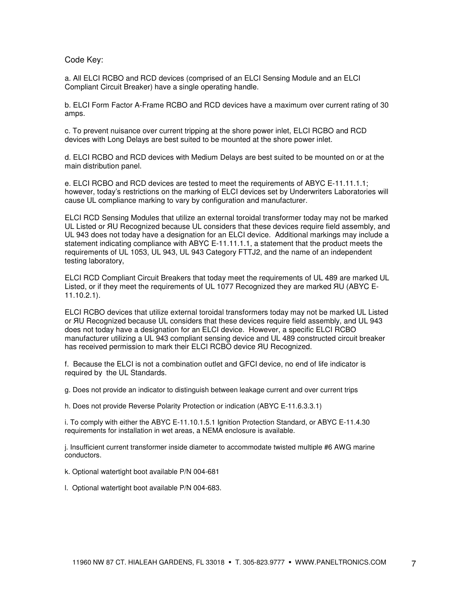#### Code Key:

a. All ELCI RCBO and RCD devices (comprised of an ELCI Sensing Module and an ELCI Compliant Circuit Breaker) have a single operating handle.

b. ELCI Form Factor A-Frame RCBO and RCD devices have a maximum over current rating of 30 amps.

c. To prevent nuisance over current tripping at the shore power inlet, ELCI RCBO and RCD devices with Long Delays are best suited to be mounted at the shore power inlet.

d. ELCI RCBO and RCD devices with Medium Delays are best suited to be mounted on or at the main distribution panel.

e. ELCI RCBO and RCD devices are tested to meet the requirements of ABYC E-11.11.1.1; however, today's restrictions on the marking of ELCI devices set by Underwriters Laboratories will cause UL compliance marking to vary by configuration and manufacturer.

ELCI RCD Sensing Modules that utilize an external toroidal transformer today may not be marked UL Listed or ЯU Recognized because UL considers that these devices require field assembly, and UL 943 does not today have a designation for an ELCI device. Additional markings may include a statement indicating compliance with ABYC E-11.11.1.1, a statement that the product meets the requirements of UL 1053, UL 943, UL 943 Category FTTJ2, and the name of an independent testing laboratory,

ELCI RCD Compliant Circuit Breakers that today meet the requirements of UL 489 are marked UL Listed, or if they meet the requirements of UL 1077 Recognized they are marked ЯU (ABYC E-11.10.2.1).

ELCI RCBO devices that utilize external toroidal transformers today may not be marked UL Listed or ЯU Recognized because UL considers that these devices require field assembly, and UL 943 does not today have a designation for an ELCI device. However, a specific ELCI RCBO manufacturer utilizing a UL 943 compliant sensing device and UL 489 constructed circuit breaker has received permission to mark their ELCI RCBO device ЯU Recognized.

f. Because the ELCI is not a combination outlet and GFCI device, no end of life indicator is required by the UL Standards.

g. Does not provide an indicator to distinguish between leakage current and over current trips

h. Does not provide Reverse Polarity Protection or indication (ABYC E-11.6.3.3.1)

i. To comply with either the ABYC E-11.10.1.5.1 Ignition Protection Standard, or ABYC E-11.4.30 requirements for installation in wet areas, a NEMA enclosure is available.

j. Insufficient current transformer inside diameter to accommodate twisted multiple #6 AWG marine conductors.

k. Optional watertight boot available P/N 004-681

l. Optional watertight boot available P/N 004-683.